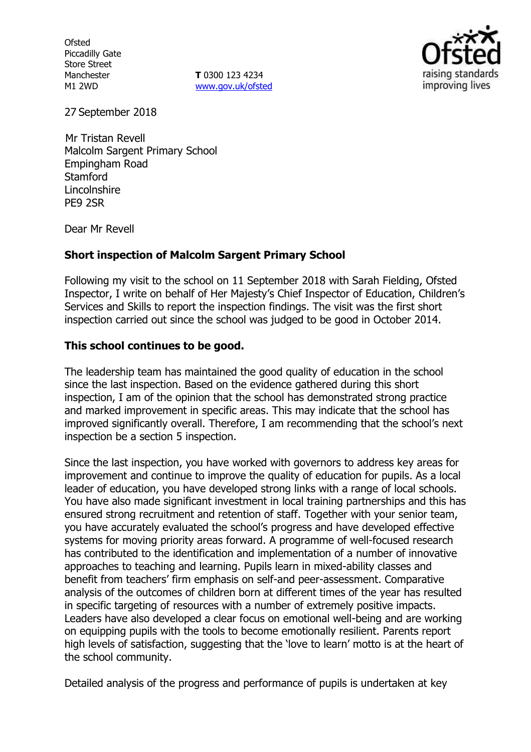**Ofsted** Piccadilly Gate Store Street Manchester M1 2WD

**T** 0300 123 4234 www.gov.uk/ofsted



27 September 2018

Mr Tristan Revell Malcolm Sargent Primary School Empingham Road **Stamford** Lincolnshire PE9 2SR

Dear Mr Revell

### **Short inspection of Malcolm Sargent Primary School**

Following my visit to the school on 11 September 2018 with Sarah Fielding, Ofsted Inspector, I write on behalf of Her Majesty's Chief Inspector of Education, Children's Services and Skills to report the inspection findings. The visit was the first short inspection carried out since the school was judged to be good in October 2014.

### **This school continues to be good.**

The leadership team has maintained the good quality of education in the school since the last inspection. Based on the evidence gathered during this short inspection, I am of the opinion that the school has demonstrated strong practice and marked improvement in specific areas. This may indicate that the school has improved significantly overall. Therefore, I am recommending that the school's next inspection be a section 5 inspection.

Since the last inspection, you have worked with governors to address key areas for improvement and continue to improve the quality of education for pupils. As a local leader of education, you have developed strong links with a range of local schools. You have also made significant investment in local training partnerships and this has ensured strong recruitment and retention of staff. Together with your senior team, you have accurately evaluated the school's progress and have developed effective systems for moving priority areas forward. A programme of well-focused research has contributed to the identification and implementation of a number of innovative approaches to teaching and learning. Pupils learn in mixed-ability classes and benefit from teachers' firm emphasis on self-and peer-assessment. Comparative analysis of the outcomes of children born at different times of the year has resulted in specific targeting of resources with a number of extremely positive impacts. Leaders have also developed a clear focus on emotional well-being and are working on equipping pupils with the tools to become emotionally resilient. Parents report high levels of satisfaction, suggesting that the 'love to learn' motto is at the heart of the school community.

Detailed analysis of the progress and performance of pupils is undertaken at key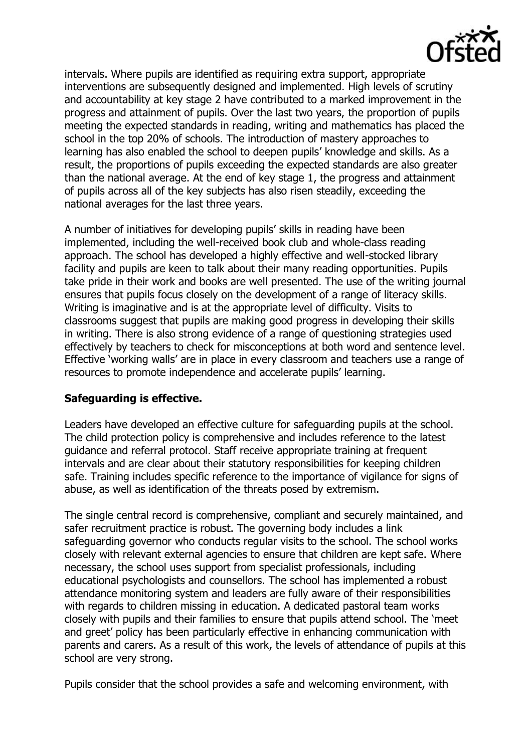

intervals. Where pupils are identified as requiring extra support, appropriate interventions are subsequently designed and implemented. High levels of scrutiny and accountability at key stage 2 have contributed to a marked improvement in the progress and attainment of pupils. Over the last two years, the proportion of pupils meeting the expected standards in reading, writing and mathematics has placed the school in the top 20% of schools. The introduction of mastery approaches to learning has also enabled the school to deepen pupils' knowledge and skills. As a result, the proportions of pupils exceeding the expected standards are also greater than the national average. At the end of key stage 1, the progress and attainment of pupils across all of the key subjects has also risen steadily, exceeding the national averages for the last three years.

A number of initiatives for developing pupils' skills in reading have been implemented, including the well-received book club and whole-class reading approach. The school has developed a highly effective and well-stocked library facility and pupils are keen to talk about their many reading opportunities. Pupils take pride in their work and books are well presented. The use of the writing journal ensures that pupils focus closely on the development of a range of literacy skills. Writing is imaginative and is at the appropriate level of difficulty. Visits to classrooms suggest that pupils are making good progress in developing their skills in writing. There is also strong evidence of a range of questioning strategies used effectively by teachers to check for misconceptions at both word and sentence level. Effective 'working walls' are in place in every classroom and teachers use a range of resources to promote independence and accelerate pupils' learning.

### **Safeguarding is effective.**

Leaders have developed an effective culture for safeguarding pupils at the school. The child protection policy is comprehensive and includes reference to the latest guidance and referral protocol. Staff receive appropriate training at frequent intervals and are clear about their statutory responsibilities for keeping children safe. Training includes specific reference to the importance of vigilance for signs of abuse, as well as identification of the threats posed by extremism.

The single central record is comprehensive, compliant and securely maintained, and safer recruitment practice is robust. The governing body includes a link safeguarding governor who conducts regular visits to the school. The school works closely with relevant external agencies to ensure that children are kept safe. Where necessary, the school uses support from specialist professionals, including educational psychologists and counsellors. The school has implemented a robust attendance monitoring system and leaders are fully aware of their responsibilities with regards to children missing in education. A dedicated pastoral team works closely with pupils and their families to ensure that pupils attend school. The 'meet and greet' policy has been particularly effective in enhancing communication with parents and carers. As a result of this work, the levels of attendance of pupils at this school are very strong.

Pupils consider that the school provides a safe and welcoming environment, with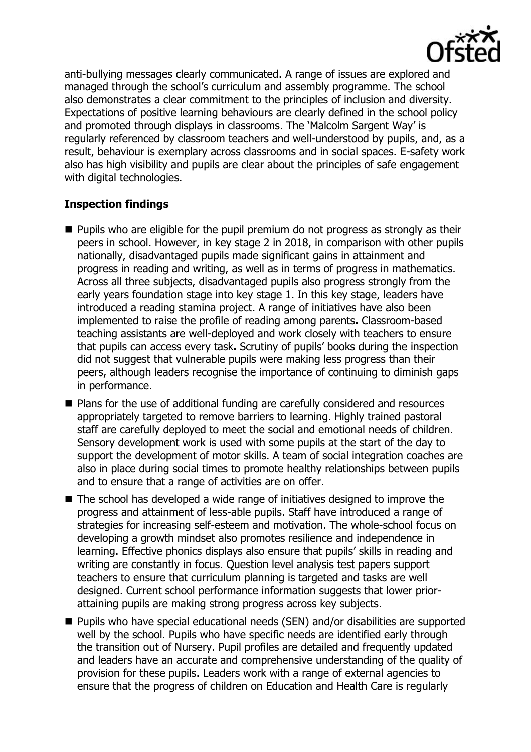

anti-bullying messages clearly communicated. A range of issues are explored and managed through the school's curriculum and assembly programme. The school also demonstrates a clear commitment to the principles of inclusion and diversity. Expectations of positive learning behaviours are clearly defined in the school policy and promoted through displays in classrooms. The 'Malcolm Sargent Way' is regularly referenced by classroom teachers and well-understood by pupils, and, as a result, behaviour is exemplary across classrooms and in social spaces. E-safety work also has high visibility and pupils are clear about the principles of safe engagement with digital technologies.

# **Inspection findings**

- $\blacksquare$  Pupils who are eligible for the pupil premium do not progress as strongly as their peers in school. However, in key stage 2 in 2018, in comparison with other pupils nationally, disadvantaged pupils made significant gains in attainment and progress in reading and writing, as well as in terms of progress in mathematics. Across all three subjects, disadvantaged pupils also progress strongly from the early years foundation stage into key stage 1. In this key stage, leaders have introduced a reading stamina project. A range of initiatives have also been implemented to raise the profile of reading among parents**.** Classroom-based teaching assistants are well-deployed and work closely with teachers to ensure that pupils can access every task**.** Scrutiny of pupils' books during the inspection did not suggest that vulnerable pupils were making less progress than their peers, although leaders recognise the importance of continuing to diminish gaps in performance.
- Plans for the use of additional funding are carefully considered and resources appropriately targeted to remove barriers to learning. Highly trained pastoral staff are carefully deployed to meet the social and emotional needs of children. Sensory development work is used with some pupils at the start of the day to support the development of motor skills. A team of social integration coaches are also in place during social times to promote healthy relationships between pupils and to ensure that a range of activities are on offer.
- The school has developed a wide range of initiatives designed to improve the progress and attainment of less-able pupils. Staff have introduced a range of strategies for increasing self-esteem and motivation. The whole-school focus on developing a growth mindset also promotes resilience and independence in learning. Effective phonics displays also ensure that pupils' skills in reading and writing are constantly in focus. Question level analysis test papers support teachers to ensure that curriculum planning is targeted and tasks are well designed. Current school performance information suggests that lower priorattaining pupils are making strong progress across key subjects.
- Pupils who have special educational needs (SEN) and/or disabilities are supported well by the school. Pupils who have specific needs are identified early through the transition out of Nursery. Pupil profiles are detailed and frequently updated and leaders have an accurate and comprehensive understanding of the quality of provision for these pupils. Leaders work with a range of external agencies to ensure that the progress of children on Education and Health Care is regularly